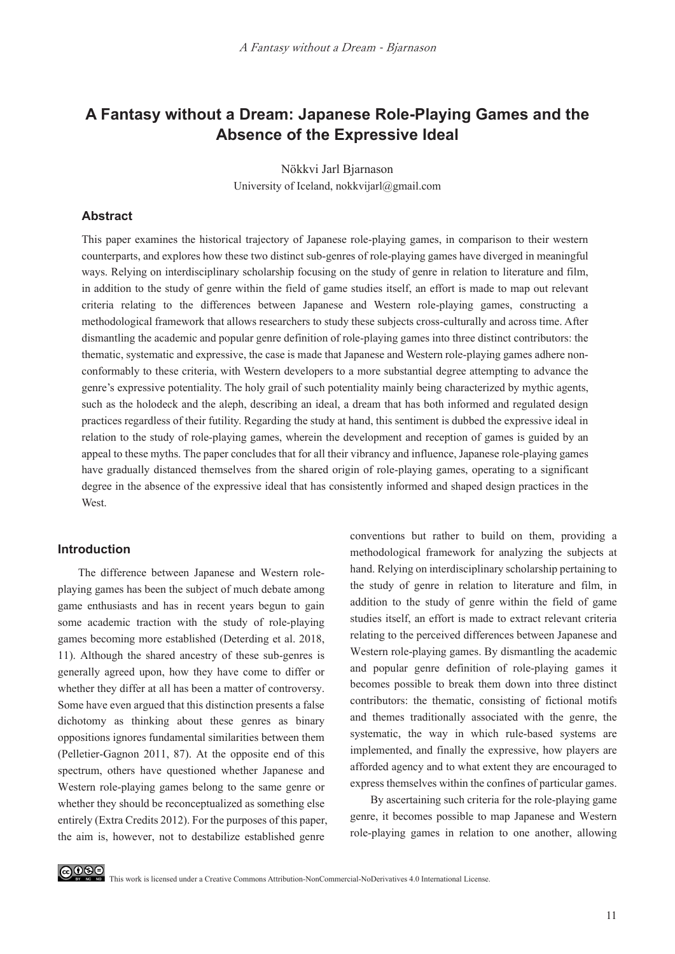# **A Fantasy without a Dream: Japanese Role-Playing Games and the Absence of the Expressive Ideal**

Nökkvi Jarl Bjarnason University of Iceland, nokkvijarl@gmail.com

#### **Abstract**

This paper examines the historical trajectory of Japanese role-playing games, in comparison to their western counterparts, and explores how these two distinct sub-genres of role-playing games have diverged in meaningful ways. Relying on interdisciplinary scholarship focusing on the study of genre in relation to literature and film, in addition to the study of genre within the field of game studies itself, an effort is made to map out relevant criteria relating to the differences between Japanese and Western role-playing games, constructing a methodological framework that allows researchers to study these subjects cross-culturally and across time. After dismantling the academic and popular genre definition of role-playing games into three distinct contributors: the thematic, systematic and expressive, the case is made that Japanese and Western role-playing games adhere nonconformably to these criteria, with Western developers to a more substantial degree attempting to advance the genre's expressive potentiality. The holy grail of such potentiality mainly being characterized by mythic agents, such as the holodeck and the aleph, describing an ideal, a dream that has both informed and regulated design practices regardless of their futility. Regarding the study at hand, this sentiment is dubbed the expressive ideal in relation to the study of role-playing games, wherein the development and reception of games is guided by an appeal to these myths. The paper concludes that for all their vibrancy and influence, Japanese role-playing games have gradually distanced themselves from the shared origin of role-playing games, operating to a significant degree in the absence of the expressive ideal that has consistently informed and shaped design practices in the West.

#### **Introduction**

The difference between Japanese and Western roleplaying games has been the subject of much debate among game enthusiasts and has in recent years begun to gain some academic traction with the study of role-playing games becoming more established (Deterding et al. 2018, 11). Although the shared ancestry of these sub-genres is generally agreed upon, how they have come to differ or whether they differ at all has been a matter of controversy. Some have even argued that this distinction presents a false dichotomy as thinking about these genres as binary oppositions ignores fundamental similarities between them (Pelletier-Gagnon 2011, 87). At the opposite end of this spectrum, others have questioned whether Japanese and Western role-playing games belong to the same genre or whether they should be reconceptualized as something else entirely (Extra Credits 2012). For the purposes of this paper, the aim is, however, not to destabilize established genre

conventions but rather to build on them, providing a methodological framework for analyzing the subjects at hand. Relying on interdisciplinary scholarship pertaining to the study of genre in relation to literature and film, in addition to the study of genre within the field of game studies itself, an effort is made to extract relevant criteria relating to the perceived differences between Japanese and Western role-playing games. By dismantling the academic and popular genre definition of role-playing games it becomes possible to break them down into three distinct contributors: the thematic, consisting of fictional motifs and themes traditionally associated with the genre, the systematic, the way in which rule-based systems are implemented, and finally the expressive, how players are afforded agency and to what extent they are encouraged to express themselves within the confines of particular games.

By ascertaining such criteria for the role-playing game genre, it becomes possible to map Japanese and Western role-playing games in relation to one another, allowing

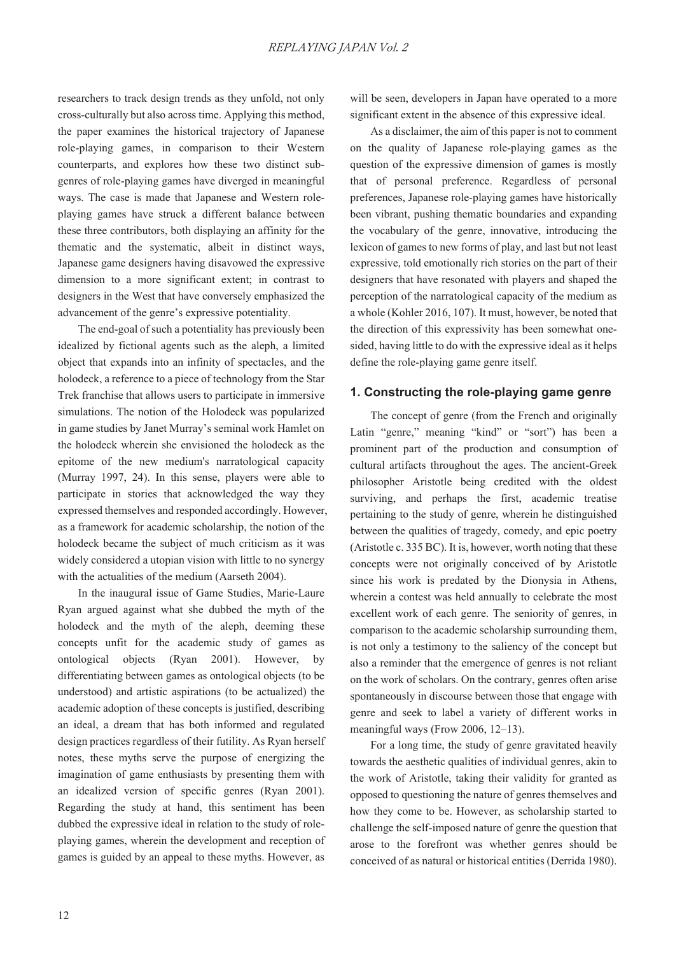researchers to track design trends as they unfold, not only cross-culturally but also across time. Applying this method, the paper examines the historical trajectory of Japanese role-playing games, in comparison to their Western counterparts, and explores how these two distinct subgenres of role-playing games have diverged in meaningful ways. The case is made that Japanese and Western roleplaying games have struck a different balance between these three contributors, both displaying an affinity for the thematic and the systematic, albeit in distinct ways, Japanese game designers having disavowed the expressive dimension to a more significant extent; in contrast to designers in the West that have conversely emphasized the advancement of the genre's expressive potentiality.

The end-goal of such a potentiality has previously been idealized by fictional agents such as the aleph, a limited object that expands into an infinity of spectacles, and the holodeck, a reference to a piece of technology from the Star Trek franchise that allows users to participate in immersive simulations. The notion of the Holodeck was popularized in game studies by Janet Murray's seminal work Hamlet on the holodeck wherein she envisioned the holodeck as the epitome of the new medium's narratological capacity (Murray 1997, 24). In this sense, players were able to participate in stories that acknowledged the way they expressed themselves and responded accordingly. However, as a framework for academic scholarship, the notion of the holodeck became the subject of much criticism as it was widely considered a utopian vision with little to no synergy with the actualities of the medium (Aarseth 2004).

In the inaugural issue of Game Studies, Marie-Laure Ryan argued against what she dubbed the myth of the holodeck and the myth of the aleph, deeming these concepts unfit for the academic study of games as ontological objects (Ryan 2001). However, by differentiating between games as ontological objects (to be understood) and artistic aspirations (to be actualized) the academic adoption of these concepts is justified, describing an ideal, a dream that has both informed and regulated design practices regardless of their futility. As Ryan herself notes, these myths serve the purpose of energizing the imagination of game enthusiasts by presenting them with an idealized version of specific genres (Ryan 2001). Regarding the study at hand, this sentiment has been dubbed the expressive ideal in relation to the study of roleplaying games, wherein the development and reception of games is guided by an appeal to these myths. However, as will be seen, developers in Japan have operated to a more significant extent in the absence of this expressive ideal.

As a disclaimer, the aim of this paper is not to comment on the quality of Japanese role-playing games as the question of the expressive dimension of games is mostly that of personal preference. Regardless of personal preferences, Japanese role-playing games have historically been vibrant, pushing thematic boundaries and expanding the vocabulary of the genre, innovative, introducing the lexicon of games to new forms of play, and last but not least expressive, told emotionally rich stories on the part of their designers that have resonated with players and shaped the perception of the narratological capacity of the medium as a whole (Kohler 2016, 107). It must, however, be noted that the direction of this expressivity has been somewhat onesided, having little to do with the expressive ideal as it helps define the role-playing game genre itself.

# **1. Constructing the role-playing game genre**

The concept of genre (from the French and originally Latin "genre," meaning "kind" or "sort") has been a prominent part of the production and consumption of cultural artifacts throughout the ages. The ancient-Greek philosopher Aristotle being credited with the oldest surviving, and perhaps the first, academic treatise pertaining to the study of genre, wherein he distinguished between the qualities of tragedy, comedy, and epic poetry (Aristotle c. 335 BC). It is, however, worth noting that these concepts were not originally conceived of by Aristotle since his work is predated by the Dionysia in Athens, wherein a contest was held annually to celebrate the most excellent work of each genre. The seniority of genres, in comparison to the academic scholarship surrounding them, is not only a testimony to the saliency of the concept but also a reminder that the emergence of genres is not reliant on the work of scholars. On the contrary, genres often arise spontaneously in discourse between those that engage with genre and seek to label a variety of different works in meaningful ways (Frow 2006, 12–13).

For a long time, the study of genre gravitated heavily towards the aesthetic qualities of individual genres, akin to the work of Aristotle, taking their validity for granted as opposed to questioning the nature of genres themselves and how they come to be. However, as scholarship started to challenge the self-imposed nature of genre the question that arose to the forefront was whether genres should be conceived of as natural or historical entities (Derrida 1980).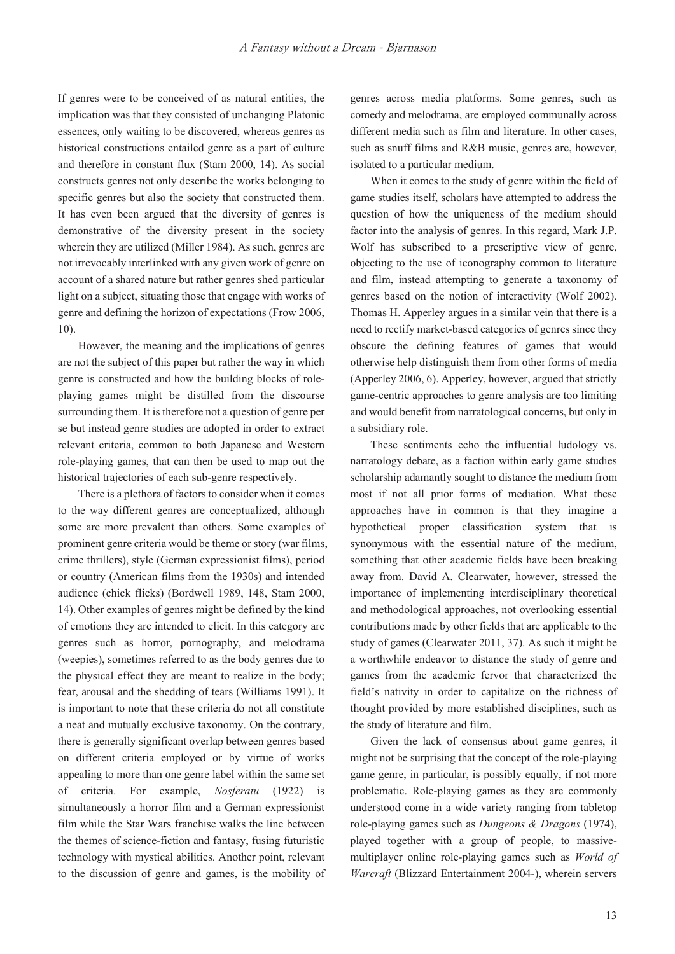If genres were to be conceived of as natural entities, the implication was that they consisted of unchanging Platonic essences, only waiting to be discovered, whereas genres as historical constructions entailed genre as a part of culture and therefore in constant flux (Stam 2000, 14). As social constructs genres not only describe the works belonging to specific genres but also the society that constructed them. It has even been argued that the diversity of genres is demonstrative of the diversity present in the society wherein they are utilized (Miller 1984). As such, genres are not irrevocably interlinked with any given work of genre on account of a shared nature but rather genres shed particular light on a subject, situating those that engage with works of genre and defining the horizon of expectations (Frow 2006, 10).

However, the meaning and the implications of genres are not the subject of this paper but rather the way in which genre is constructed and how the building blocks of roleplaying games might be distilled from the discourse surrounding them. It is therefore not a question of genre per se but instead genre studies are adopted in order to extract relevant criteria, common to both Japanese and Western role-playing games, that can then be used to map out the historical trajectories of each sub-genre respectively.

There is a plethora of factors to consider when it comes to the way different genres are conceptualized, although some are more prevalent than others. Some examples of prominent genre criteria would be theme or story (war films, crime thrillers), style (German expressionist films), period or country (American films from the 1930s) and intended audience (chick flicks) (Bordwell 1989, 148, Stam 2000, 14). Other examples of genres might be defined by the kind of emotions they are intended to elicit. In this category are genres such as horror, pornography, and melodrama (weepies), sometimes referred to as the body genres due to the physical effect they are meant to realize in the body; fear, arousal and the shedding of tears (Williams 1991). It is important to note that these criteria do not all constitute a neat and mutually exclusive taxonomy. On the contrary, there is generally significant overlap between genres based on different criteria employed or by virtue of works appealing to more than one genre label within the same set of criteria. For example, *Nosferatu* (1922) is simultaneously a horror film and a German expressionist film while the Star Wars franchise walks the line between the themes of science-fiction and fantasy, fusing futuristic technology with mystical abilities. Another point, relevant to the discussion of genre and games, is the mobility of

genres across media platforms. Some genres, such as comedy and melodrama, are employed communally across different media such as film and literature. In other cases, such as snuff films and R&B music, genres are, however, isolated to a particular medium.

When it comes to the study of genre within the field of game studies itself, scholars have attempted to address the question of how the uniqueness of the medium should factor into the analysis of genres. In this regard, Mark J.P. Wolf has subscribed to a prescriptive view of genre, objecting to the use of iconography common to literature and film, instead attempting to generate a taxonomy of genres based on the notion of interactivity (Wolf 2002). Thomas H. Apperley argues in a similar vein that there is a need to rectify market-based categories of genres since they obscure the defining features of games that would otherwise help distinguish them from other forms of media (Apperley 2006, 6). Apperley, however, argued that strictly game-centric approaches to genre analysis are too limiting and would benefit from narratological concerns, but only in a subsidiary role.

These sentiments echo the influential ludology vs. narratology debate, as a faction within early game studies scholarship adamantly sought to distance the medium from most if not all prior forms of mediation. What these approaches have in common is that they imagine a hypothetical proper classification system that is synonymous with the essential nature of the medium, something that other academic fields have been breaking away from. David A. Clearwater, however, stressed the importance of implementing interdisciplinary theoretical and methodological approaches, not overlooking essential contributions made by other fields that are applicable to the study of games (Clearwater 2011, 37). As such it might be a worthwhile endeavor to distance the study of genre and games from the academic fervor that characterized the field's nativity in order to capitalize on the richness of thought provided by more established disciplines, such as the study of literature and film.

Given the lack of consensus about game genres, it might not be surprising that the concept of the role-playing game genre, in particular, is possibly equally, if not more problematic. Role-playing games as they are commonly understood come in a wide variety ranging from tabletop role-playing games such as *Dungeons & Dragons* (1974), played together with a group of people, to massivemultiplayer online role-playing games such as *World of Warcraft* (Blizzard Entertainment 2004-), wherein servers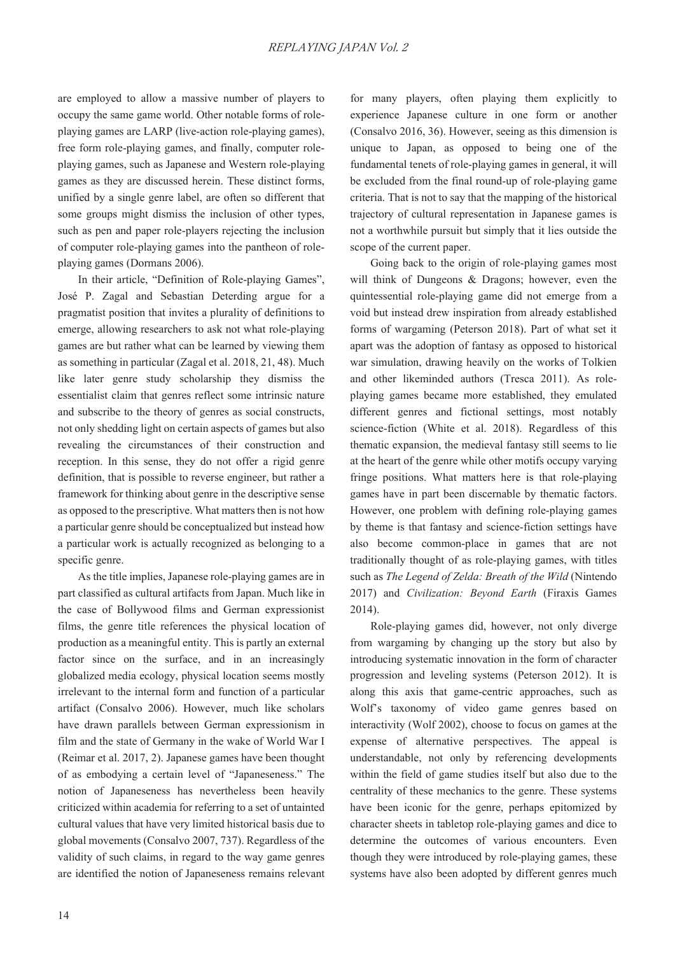are employed to allow a massive number of players to occupy the same game world. Other notable forms of roleplaying games are LARP (live-action role-playing games), free form role-playing games, and finally, computer roleplaying games, such as Japanese and Western role-playing games as they are discussed herein. These distinct forms, unified by a single genre label, are often so different that some groups might dismiss the inclusion of other types, such as pen and paper role-players rejecting the inclusion of computer role-playing games into the pantheon of roleplaying games (Dormans 2006).

In their article, "Definition of Role-playing Games", José P. Zagal and Sebastian Deterding argue for a pragmatist position that invites a plurality of definitions to emerge, allowing researchers to ask not what role-playing games are but rather what can be learned by viewing them as something in particular (Zagal et al. 2018, 21, 48). Much like later genre study scholarship they dismiss the essentialist claim that genres reflect some intrinsic nature and subscribe to the theory of genres as social constructs, not only shedding light on certain aspects of games but also revealing the circumstances of their construction and reception. In this sense, they do not offer a rigid genre definition, that is possible to reverse engineer, but rather a framework for thinking about genre in the descriptive sense as opposed to the prescriptive. What matters then is not how a particular genre should be conceptualized but instead how a particular work is actually recognized as belonging to a specific genre.

As the title implies, Japanese role-playing games are in part classified as cultural artifacts from Japan. Much like in the case of Bollywood films and German expressionist films, the genre title references the physical location of production as a meaningful entity. This is partly an external factor since on the surface, and in an increasingly globalized media ecology, physical location seems mostly irrelevant to the internal form and function of a particular artifact (Consalvo 2006). However, much like scholars have drawn parallels between German expressionism in film and the state of Germany in the wake of World War I (Reimar et al. 2017, 2). Japanese games have been thought of as embodying a certain level of "Japaneseness." The notion of Japaneseness has nevertheless been heavily criticized within academia for referring to a set of untainted cultural values that have very limited historical basis due to global movements (Consalvo 2007, 737). Regardless of the validity of such claims, in regard to the way game genres are identified the notion of Japaneseness remains relevant

for many players, often playing them explicitly to experience Japanese culture in one form or another (Consalvo 2016, 36). However, seeing as this dimension is unique to Japan, as opposed to being one of the fundamental tenets of role-playing games in general, it will be excluded from the final round-up of role-playing game criteria. That is not to say that the mapping of the historical trajectory of cultural representation in Japanese games is not a worthwhile pursuit but simply that it lies outside the scope of the current paper.

Going back to the origin of role-playing games most will think of Dungeons & Dragons; however, even the quintessential role-playing game did not emerge from a void but instead drew inspiration from already established forms of wargaming (Peterson 2018). Part of what set it apart was the adoption of fantasy as opposed to historical war simulation, drawing heavily on the works of Tolkien and other likeminded authors (Tresca 2011). As roleplaying games became more established, they emulated different genres and fictional settings, most notably science-fiction (White et al. 2018). Regardless of this thematic expansion, the medieval fantasy still seems to lie at the heart of the genre while other motifs occupy varying fringe positions. What matters here is that role-playing games have in part been discernable by thematic factors. However, one problem with defining role-playing games by theme is that fantasy and science-fiction settings have also become common-place in games that are not traditionally thought of as role-playing games, with titles such as *The Legend of Zelda: Breath of the Wild* (Nintendo 2017) and *Civilization: Beyond Earth* (Firaxis Games 2014).

Role-playing games did, however, not only diverge from wargaming by changing up the story but also by introducing systematic innovation in the form of character progression and leveling systems (Peterson 2012). It is along this axis that game-centric approaches, such as Wolf's taxonomy of video game genres based on interactivity (Wolf 2002), choose to focus on games at the expense of alternative perspectives. The appeal is understandable, not only by referencing developments within the field of game studies itself but also due to the centrality of these mechanics to the genre. These systems have been iconic for the genre, perhaps epitomized by character sheets in tabletop role-playing games and dice to determine the outcomes of various encounters. Even though they were introduced by role-playing games, these systems have also been adopted by different genres much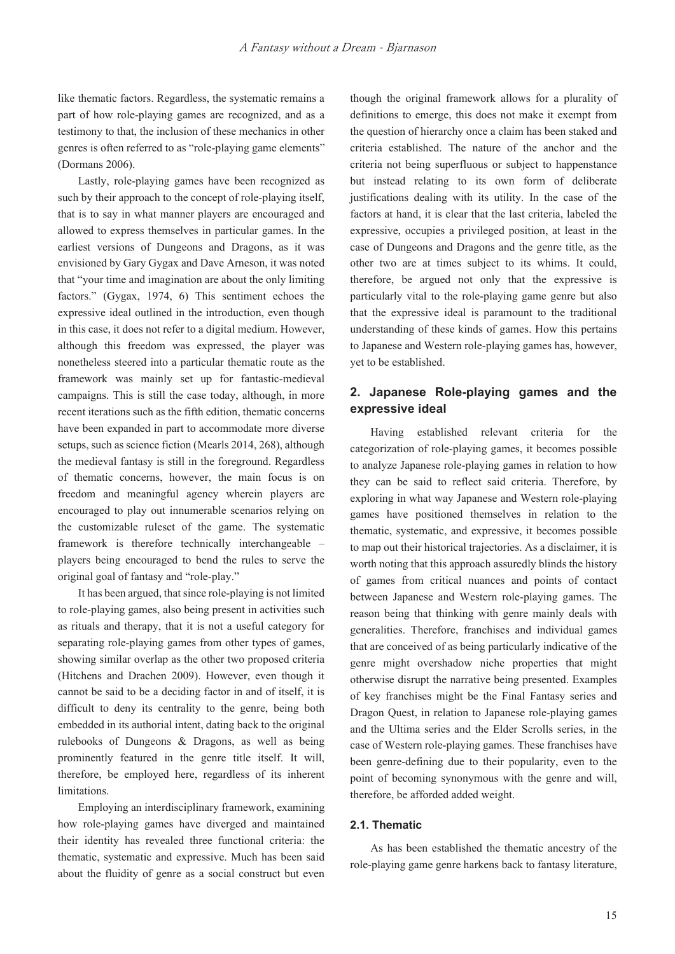like thematic factors. Regardless, the systematic remains a part of how role-playing games are recognized, and as a testimony to that, the inclusion of these mechanics in other genres is often referred to as "role-playing game elements" (Dormans 2006).

Lastly, role-playing games have been recognized as such by their approach to the concept of role-playing itself, that is to say in what manner players are encouraged and allowed to express themselves in particular games. In the earliest versions of Dungeons and Dragons, as it was envisioned by Gary Gygax and Dave Arneson, it was noted that "your time and imagination are about the only limiting factors." (Gygax, 1974, 6) This sentiment echoes the expressive ideal outlined in the introduction, even though in this case, it does not refer to a digital medium. However, although this freedom was expressed, the player was nonetheless steered into a particular thematic route as the framework was mainly set up for fantastic-medieval campaigns. This is still the case today, although, in more recent iterations such as the fifth edition, thematic concerns have been expanded in part to accommodate more diverse setups, such as science fiction (Mearls 2014, 268), although the medieval fantasy is still in the foreground. Regardless of thematic concerns, however, the main focus is on freedom and meaningful agency wherein players are encouraged to play out innumerable scenarios relying on the customizable ruleset of the game. The systematic framework is therefore technically interchangeable – players being encouraged to bend the rules to serve the original goal of fantasy and "role-play."

It has been argued, that since role-playing is not limited to role-playing games, also being present in activities such as rituals and therapy, that it is not a useful category for separating role-playing games from other types of games, showing similar overlap as the other two proposed criteria (Hitchens and Drachen 2009). However, even though it cannot be said to be a deciding factor in and of itself, it is difficult to deny its centrality to the genre, being both embedded in its authorial intent, dating back to the original rulebooks of Dungeons & Dragons, as well as being prominently featured in the genre title itself. It will, therefore, be employed here, regardless of its inherent limitations.

Employing an interdisciplinary framework, examining how role-playing games have diverged and maintained their identity has revealed three functional criteria: the thematic, systematic and expressive. Much has been said about the fluidity of genre as a social construct but even

though the original framework allows for a plurality of definitions to emerge, this does not make it exempt from the question of hierarchy once a claim has been staked and criteria established. The nature of the anchor and the criteria not being superfluous or subject to happenstance but instead relating to its own form of deliberate justifications dealing with its utility. In the case of the factors at hand, it is clear that the last criteria, labeled the expressive, occupies a privileged position, at least in the case of Dungeons and Dragons and the genre title, as the other two are at times subject to its whims. It could, therefore, be argued not only that the expressive is particularly vital to the role-playing game genre but also that the expressive ideal is paramount to the traditional understanding of these kinds of games. How this pertains to Japanese and Western role-playing games has, however, yet to be established.

# **2. Japanese Role-playing games and the expressive ideal**

Having established relevant criteria for the categorization of role-playing games, it becomes possible to analyze Japanese role-playing games in relation to how they can be said to reflect said criteria. Therefore, by exploring in what way Japanese and Western role-playing games have positioned themselves in relation to the thematic, systematic, and expressive, it becomes possible to map out their historical trajectories. As a disclaimer, it is worth noting that this approach assuredly blinds the history of games from critical nuances and points of contact between Japanese and Western role-playing games. The reason being that thinking with genre mainly deals with generalities. Therefore, franchises and individual games that are conceived of as being particularly indicative of the genre might overshadow niche properties that might otherwise disrupt the narrative being presented. Examples of key franchises might be the Final Fantasy series and Dragon Quest, in relation to Japanese role-playing games and the Ultima series and the Elder Scrolls series, in the case of Western role-playing games. These franchises have been genre-defining due to their popularity, even to the point of becoming synonymous with the genre and will, therefore, be afforded added weight.

# **2.1. Thematic**

As has been established the thematic ancestry of the role-playing game genre harkens back to fantasy literature,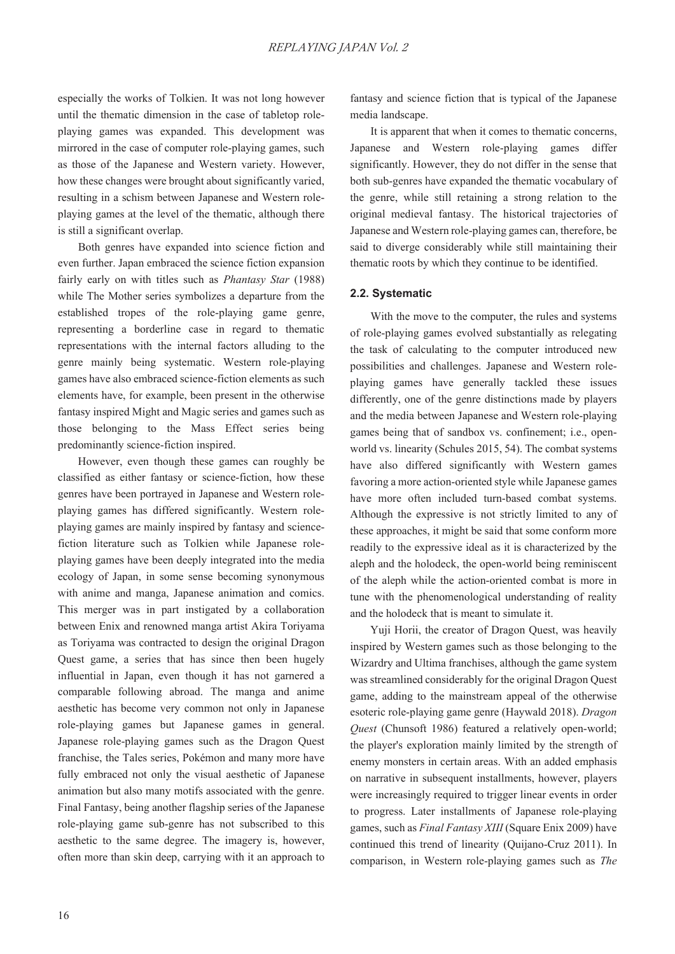especially the works of Tolkien. It was not long however until the thematic dimension in the case of tabletop roleplaying games was expanded. This development was mirrored in the case of computer role-playing games, such as those of the Japanese and Western variety. However, how these changes were brought about significantly varied, resulting in a schism between Japanese and Western roleplaying games at the level of the thematic, although there is still a significant overlap.

Both genres have expanded into science fiction and even further. Japan embraced the science fiction expansion fairly early on with titles such as *Phantasy Star* (1988) while The Mother series symbolizes a departure from the established tropes of the role-playing game genre, representing a borderline case in regard to thematic representations with the internal factors alluding to the genre mainly being systematic. Western role-playing games have also embraced science-fiction elements as such elements have, for example, been present in the otherwise fantasy inspired Might and Magic series and games such as those belonging to the Mass Effect series being predominantly science-fiction inspired.

However, even though these games can roughly be classified as either fantasy or science-fiction, how these genres have been portrayed in Japanese and Western roleplaying games has differed significantly. Western roleplaying games are mainly inspired by fantasy and sciencefiction literature such as Tolkien while Japanese roleplaying games have been deeply integrated into the media ecology of Japan, in some sense becoming synonymous with anime and manga, Japanese animation and comics. This merger was in part instigated by a collaboration between Enix and renowned manga artist Akira Toriyama as Toriyama was contracted to design the original Dragon Quest game, a series that has since then been hugely influential in Japan, even though it has not garnered a comparable following abroad. The manga and anime aesthetic has become very common not only in Japanese role-playing games but Japanese games in general. Japanese role-playing games such as the Dragon Quest franchise, the Tales series, Pokémon and many more have fully embraced not only the visual aesthetic of Japanese animation but also many motifs associated with the genre. Final Fantasy, being another flagship series of the Japanese role-playing game sub-genre has not subscribed to this aesthetic to the same degree. The imagery is, however, often more than skin deep, carrying with it an approach to

fantasy and science fiction that is typical of the Japanese media landscape.

It is apparent that when it comes to thematic concerns, Japanese and Western role-playing games differ significantly. However, they do not differ in the sense that both sub-genres have expanded the thematic vocabulary of the genre, while still retaining a strong relation to the original medieval fantasy. The historical trajectories of Japanese and Western role-playing games can, therefore, be said to diverge considerably while still maintaining their thematic roots by which they continue to be identified.

## **2.2. Systematic**

With the move to the computer, the rules and systems of role-playing games evolved substantially as relegating the task of calculating to the computer introduced new possibilities and challenges. Japanese and Western roleplaying games have generally tackled these issues differently, one of the genre distinctions made by players and the media between Japanese and Western role-playing games being that of sandbox vs. confinement; i.e., openworld vs. linearity (Schules 2015, 54). The combat systems have also differed significantly with Western games favoring a more action-oriented style while Japanese games have more often included turn-based combat systems. Although the expressive is not strictly limited to any of these approaches, it might be said that some conform more readily to the expressive ideal as it is characterized by the aleph and the holodeck, the open-world being reminiscent of the aleph while the action-oriented combat is more in tune with the phenomenological understanding of reality and the holodeck that is meant to simulate it.

Yuji Horii, the creator of Dragon Quest, was heavily inspired by Western games such as those belonging to the Wizardry and Ultima franchises, although the game system was streamlined considerably for the original Dragon Quest game, adding to the mainstream appeal of the otherwise esoteric role-playing game genre (Haywald 2018). *Dragon Quest* (Chunsoft 1986) featured a relatively open-world; the player's exploration mainly limited by the strength of enemy monsters in certain areas. With an added emphasis on narrative in subsequent installments, however, players were increasingly required to trigger linear events in order to progress. Later installments of Japanese role-playing games, such as *Final Fantasy XIII* (Square Enix 2009) have continued this trend of linearity (Quijano-Cruz 2011). In comparison, in Western role-playing games such as *The*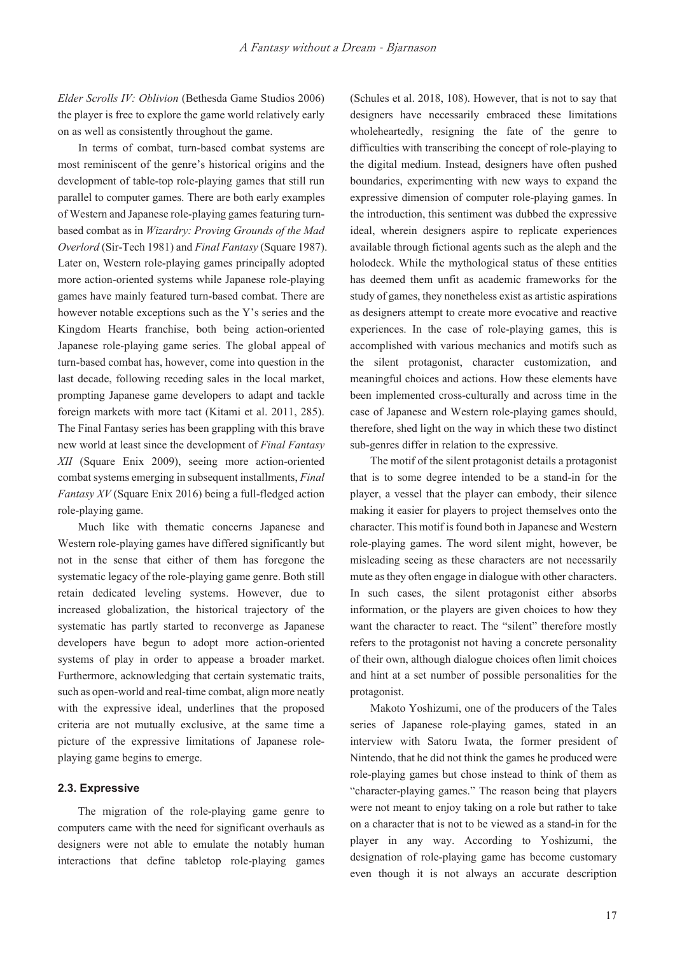*Elder Scrolls IV: Oblivion* (Bethesda Game Studios 2006) the player is free to explore the game world relatively early on as well as consistently throughout the game.

In terms of combat, turn-based combat systems are most reminiscent of the genre's historical origins and the development of table-top role-playing games that still run parallel to computer games. There are both early examples of Western and Japanese role-playing games featuring turnbased combat as in *Wizardry: Proving Grounds of the Mad Overlord* (Sir-Tech 1981) and *Final Fantasy* (Square 1987). Later on, Western role-playing games principally adopted more action-oriented systems while Japanese role-playing games have mainly featured turn-based combat. There are however notable exceptions such as the Y's series and the Kingdom Hearts franchise, both being action-oriented Japanese role-playing game series. The global appeal of turn-based combat has, however, come into question in the last decade, following receding sales in the local market, prompting Japanese game developers to adapt and tackle foreign markets with more tact (Kitami et al. 2011, 285). The Final Fantasy series has been grappling with this brave new world at least since the development of *Final Fantasy XII* (Square Enix 2009), seeing more action-oriented combat systems emerging in subsequent installments, *Final Fantasy XV* (Square Enix 2016) being a full-fledged action role-playing game.

Much like with thematic concerns Japanese and Western role-playing games have differed significantly but not in the sense that either of them has foregone the systematic legacy of the role-playing game genre. Both still retain dedicated leveling systems. However, due to increased globalization, the historical trajectory of the systematic has partly started to reconverge as Japanese developers have begun to adopt more action-oriented systems of play in order to appease a broader market. Furthermore, acknowledging that certain systematic traits, such as open-world and real-time combat, align more neatly with the expressive ideal, underlines that the proposed criteria are not mutually exclusive, at the same time a picture of the expressive limitations of Japanese roleplaying game begins to emerge.

## **2.3. Expressive**

The migration of the role-playing game genre to computers came with the need for significant overhauls as designers were not able to emulate the notably human interactions that define tabletop role-playing games

(Schules et al. 2018, 108). However, that is not to say that designers have necessarily embraced these limitations wholeheartedly, resigning the fate of the genre to difficulties with transcribing the concept of role-playing to the digital medium. Instead, designers have often pushed boundaries, experimenting with new ways to expand the expressive dimension of computer role-playing games. In the introduction, this sentiment was dubbed the expressive ideal, wherein designers aspire to replicate experiences available through fictional agents such as the aleph and the holodeck. While the mythological status of these entities has deemed them unfit as academic frameworks for the study of games, they nonetheless exist as artistic aspirations as designers attempt to create more evocative and reactive experiences. In the case of role-playing games, this is accomplished with various mechanics and motifs such as the silent protagonist, character customization, and meaningful choices and actions. How these elements have been implemented cross-culturally and across time in the case of Japanese and Western role-playing games should, therefore, shed light on the way in which these two distinct sub-genres differ in relation to the expressive.

The motif of the silent protagonist details a protagonist that is to some degree intended to be a stand-in for the player, a vessel that the player can embody, their silence making it easier for players to project themselves onto the character. This motif is found both in Japanese and Western role-playing games. The word silent might, however, be misleading seeing as these characters are not necessarily mute as they often engage in dialogue with other characters. In such cases, the silent protagonist either absorbs information, or the players are given choices to how they want the character to react. The "silent" therefore mostly refers to the protagonist not having a concrete personality of their own, although dialogue choices often limit choices and hint at a set number of possible personalities for the protagonist.

Makoto Yoshizumi, one of the producers of the Tales series of Japanese role-playing games, stated in an interview with Satoru Iwata, the former president of Nintendo, that he did not think the games he produced were role-playing games but chose instead to think of them as "character-playing games." The reason being that players were not meant to enjoy taking on a role but rather to take on a character that is not to be viewed as a stand-in for the player in any way. According to Yoshizumi, the designation of role-playing game has become customary even though it is not always an accurate description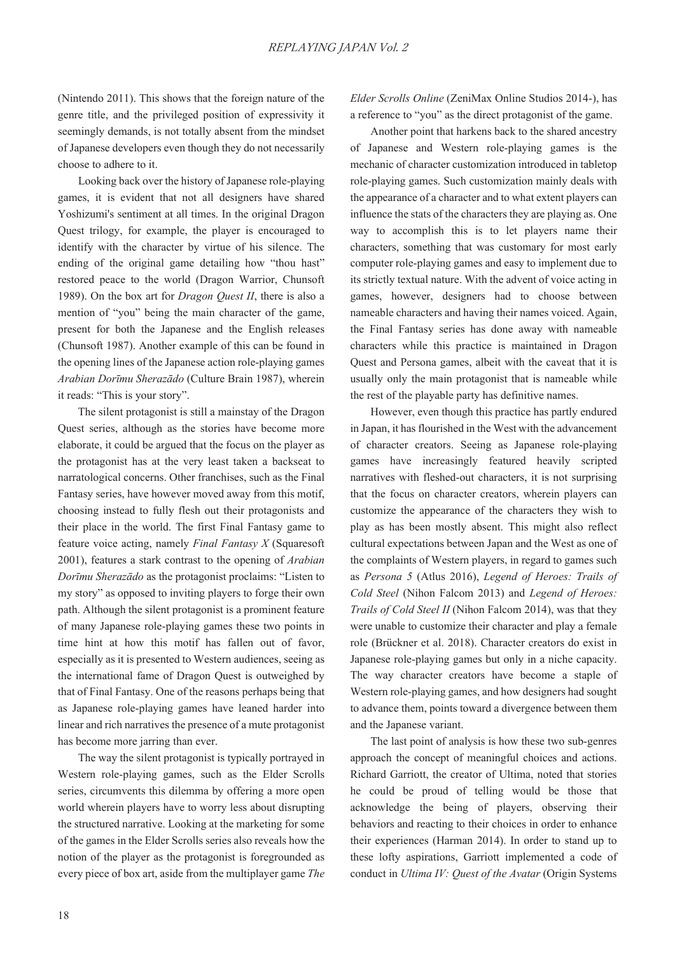(Nintendo 2011). This shows that the foreign nature of the genre title, and the privileged position of expressivity it seemingly demands, is not totally absent from the mindset of Japanese developers even though they do not necessarily choose to adhere to it.

Looking back over the history of Japanese role-playing games, it is evident that not all designers have shared Yoshizumi's sentiment at all times. In the original Dragon Quest trilogy, for example, the player is encouraged to identify with the character by virtue of his silence. The ending of the original game detailing how "thou hast" restored peace to the world (Dragon Warrior, Chunsoft 1989). On the box art for *Dragon Quest II*, there is also a mention of "you" being the main character of the game, present for both the Japanese and the English releases (Chunsoft 1987). Another example of this can be found in the opening lines of the Japanese action role-playing games *Arabian Dorīmu Sherazādo* (Culture Brain 1987), wherein it reads: "This is your story".

The silent protagonist is still a mainstay of the Dragon Quest series, although as the stories have become more elaborate, it could be argued that the focus on the player as the protagonist has at the very least taken a backseat to narratological concerns. Other franchises, such as the Final Fantasy series, have however moved away from this motif, choosing instead to fully flesh out their protagonists and their place in the world. The first Final Fantasy game to feature voice acting, namely *Final Fantasy X* (Squaresoft 2001), features a stark contrast to the opening of *Arabian Dorīmu Sherazādo* as the protagonist proclaims: "Listen to my story" as opposed to inviting players to forge their own path. Although the silent protagonist is a prominent feature of many Japanese role-playing games these two points in time hint at how this motif has fallen out of favor, especially as it is presented to Western audiences, seeing as the international fame of Dragon Quest is outweighed by that of Final Fantasy. One of the reasons perhaps being that as Japanese role-playing games have leaned harder into linear and rich narratives the presence of a mute protagonist has become more jarring than ever.

The way the silent protagonist is typically portrayed in Western role-playing games, such as the Elder Scrolls series, circumvents this dilemma by offering a more open world wherein players have to worry less about disrupting the structured narrative. Looking at the marketing for some of the games in the Elder Scrolls series also reveals how the notion of the player as the protagonist is foregrounded as every piece of box art, aside from the multiplayer game *The*  *Elder Scrolls Online* (ZeniMax Online Studios 2014-), has a reference to "you" as the direct protagonist of the game.

Another point that harkens back to the shared ancestry of Japanese and Western role-playing games is the mechanic of character customization introduced in tabletop role-playing games. Such customization mainly deals with the appearance of a character and to what extent players can influence the stats of the characters they are playing as. One way to accomplish this is to let players name their characters, something that was customary for most early computer role-playing games and easy to implement due to its strictly textual nature. With the advent of voice acting in games, however, designers had to choose between nameable characters and having their names voiced. Again, the Final Fantasy series has done away with nameable characters while this practice is maintained in Dragon Quest and Persona games, albeit with the caveat that it is usually only the main protagonist that is nameable while the rest of the playable party has definitive names.

However, even though this practice has partly endured in Japan, it has flourished in the West with the advancement of character creators. Seeing as Japanese role-playing games have increasingly featured heavily scripted narratives with fleshed-out characters, it is not surprising that the focus on character creators, wherein players can customize the appearance of the characters they wish to play as has been mostly absent. This might also reflect cultural expectations between Japan and the West as one of the complaints of Western players, in regard to games such as *Persona 5* (Atlus 2016), *Legend of Heroes: Trails of Cold Steel* (Nihon Falcom 2013) and *Legend of Heroes: Trails of Cold Steel II* (Nihon Falcom 2014), was that they were unable to customize their character and play a female role (Brückner et al. 2018). Character creators do exist in Japanese role-playing games but only in a niche capacity. The way character creators have become a staple of Western role-playing games, and how designers had sought to advance them, points toward a divergence between them and the Japanese variant.

The last point of analysis is how these two sub-genres approach the concept of meaningful choices and actions. Richard Garriott, the creator of Ultima, noted that stories he could be proud of telling would be those that acknowledge the being of players, observing their behaviors and reacting to their choices in order to enhance their experiences (Harman 2014). In order to stand up to these lofty aspirations, Garriott implemented a code of conduct in *Ultima IV: Quest of the Avatar* (Origin Systems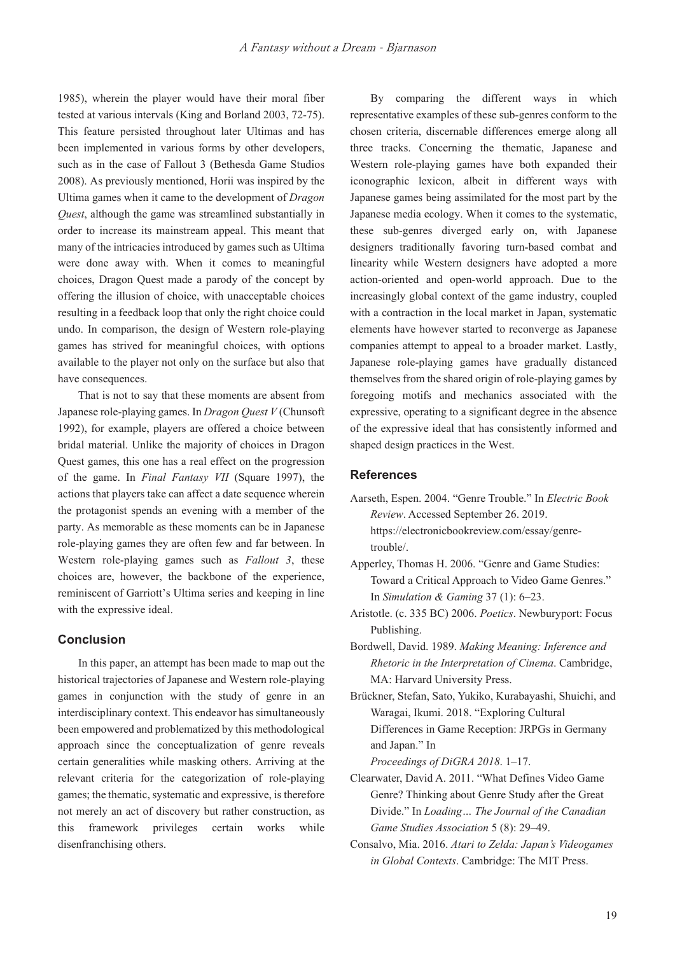1985), wherein the player would have their moral fiber tested at various intervals (King and Borland 2003, 72-75). This feature persisted throughout later Ultimas and has been implemented in various forms by other developers, such as in the case of Fallout 3 (Bethesda Game Studios 2008). As previously mentioned, Horii was inspired by the Ultima games when it came to the development of *Dragon Quest*, although the game was streamlined substantially in order to increase its mainstream appeal. This meant that many of the intricacies introduced by games such as Ultima were done away with. When it comes to meaningful choices, Dragon Quest made a parody of the concept by offering the illusion of choice, with unacceptable choices resulting in a feedback loop that only the right choice could undo. In comparison, the design of Western role-playing games has strived for meaningful choices, with options available to the player not only on the surface but also that have consequences.

That is not to say that these moments are absent from Japanese role-playing games. In *Dragon Quest V* (Chunsoft 1992), for example, players are offered a choice between bridal material. Unlike the majority of choices in Dragon Quest games, this one has a real effect on the progression of the game. In *Final Fantasy VII* (Square 1997), the actions that players take can affect a date sequence wherein the protagonist spends an evening with a member of the party. As memorable as these moments can be in Japanese role-playing games they are often few and far between. In Western role-playing games such as *Fallout 3*, these choices are, however, the backbone of the experience, reminiscent of Garriott's Ultima series and keeping in line with the expressive ideal.

# **Conclusion**

In this paper, an attempt has been made to map out the historical trajectories of Japanese and Western role-playing games in conjunction with the study of genre in an interdisciplinary context. This endeavor has simultaneously been empowered and problematized by this methodological approach since the conceptualization of genre reveals certain generalities while masking others. Arriving at the relevant criteria for the categorization of role-playing games; the thematic, systematic and expressive, is therefore not merely an act of discovery but rather construction, as this framework privileges certain works while disenfranchising others.

By comparing the different ways in which representative examples of these sub-genres conform to the chosen criteria, discernable differences emerge along all three tracks. Concerning the thematic, Japanese and Western role-playing games have both expanded their iconographic lexicon, albeit in different ways with Japanese games being assimilated for the most part by the Japanese media ecology. When it comes to the systematic, these sub-genres diverged early on, with Japanese designers traditionally favoring turn-based combat and linearity while Western designers have adopted a more action-oriented and open-world approach. Due to the increasingly global context of the game industry, coupled with a contraction in the local market in Japan, systematic elements have however started to reconverge as Japanese companies attempt to appeal to a broader market. Lastly, Japanese role-playing games have gradually distanced themselves from the shared origin of role-playing games by foregoing motifs and mechanics associated with the expressive, operating to a significant degree in the absence of the expressive ideal that has consistently informed and shaped design practices in the West.

# **References**

- Aarseth, Espen. 2004. "Genre Trouble." In *Electric Book Review*. Accessed September 26. 2019. https://electronicbookreview.com/essay/genretrouble/.
- Apperley, Thomas H. 2006. "Genre and Game Studies: Toward a Critical Approach to Video Game Genres." In *Simulation & Gaming* 37 (1): 6–23.
- Aristotle. (c. 335 BC) 2006. *Poetics*. Newburyport: Focus Publishing.
- Bordwell, David. 1989. *Making Meaning: Inference and Rhetoric in the Interpretation of Cinema.* Cambridge, MA: Harvard University Press.
- Brückner, Stefan, Sato, Yukiko, Kurabayashi, Shuichi, and Waragai, Ikumi. 2018. "Exploring Cultural Differences in Game Reception: JRPGs in Germany and Japan." In

*Proceedings of DiGRA 2018*. 1–17.

- Clearwater, David A. 2011. "What Defines Video Game Genre? Thinking about Genre Study after the Great Divide." In *Loading… The Journal of the Canadian*  Game Studies Association 5 (8): 29–49.
- Consalvo, Mia. 2016. *Atari to Zelda: Japan's Videogames in Global Contexts*. Cambridge: The MIT Press.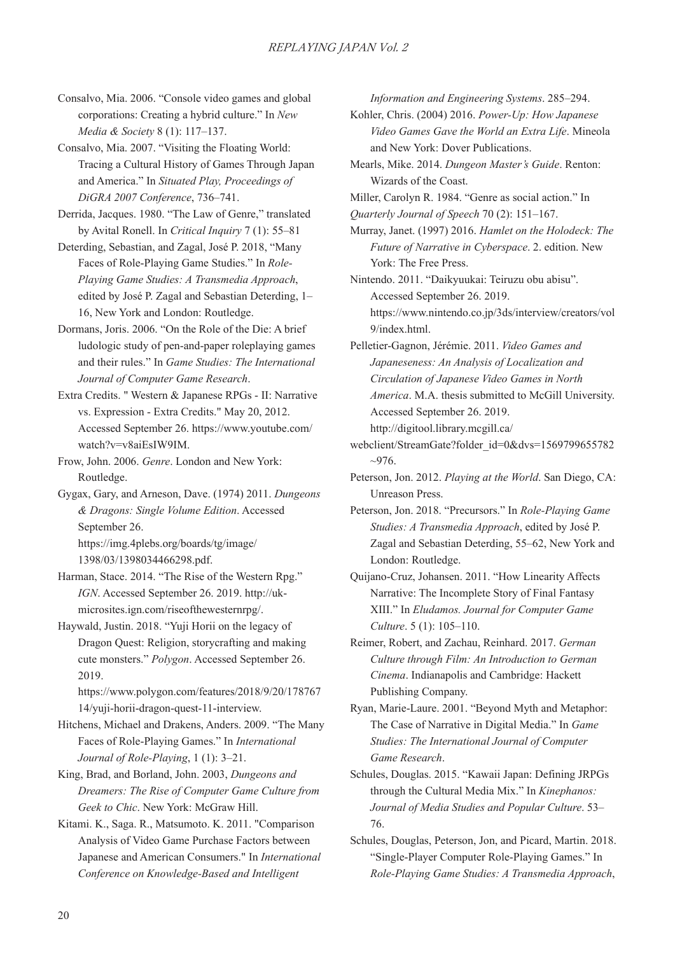Consalvo, Mia. 2006. "Console video games and global corporations: Creating a hybrid culture." In *New Media & Society* 8 (1): 117–137.

Consalvo, Mia. 2007. "Visiting the Floating World: Tracing a Cultural History of Games Through Japan and America." In *Situated Play, Proceedings of DiGRA 2007 Conference*, 736–741.

Derrida, Jacques. 1980. "The Law of Genre," translated by Avital Ronell. In *Critical Inquiry* 7 (1): 55–81

Deterding, Sebastian, and Zagal, José P. 2018, "Many Faces of Role-Playing Game Studies." In *Role-Playing Game Studies: A Transmedia Approach,* edited by José P. Zagal and Sebastian Deterding, 1– 16, New York and London: Routledge.

Dormans, Joris. 2006. "On the Role of the Die: A brief ludologic study of pen-and-paper roleplaying games and their rules." In *Game Studies: The International Journal of Computer Game Research.* 

Extra Credits. " Western & Japanese RPGs - II: Narrative vs. Expression - Extra Credits." May 20, 2012. Accessed September 26. https://www.youtube.com/ watch?v=v8aiEsIW9IM.

Frow, John. 2006. *Genre*. London and New York: Routledge.

Gygax, Gary, and Arneson, Dave. (1974) 2011. *Dungeons*   $&$  *Dragons: Single Volume Edition.* Accessed September 26. https://img.4plebs.org/boards/tg/image/ 1398/03/1398034466298.pdf.

Harman, Stace. 2014. "The Rise of the Western Rpg." *IGN*. Accessed September 26. 2019. http://ukmicrosites.ign.com/riseofthewesternrpg/.

Haywald, Justin. 2018. "Yuji Horii on the legacy of Dragon Quest: Religion, storycrafting and making cute monsters." *Polygon*. Accessed September 26. 2019.

https://www.polygon.com/features/2018/9/20/178767 14/yuji-horii-dragon-quest-11-interview.

Hitchens, Michael and Drakens, Anders. 2009. "The Many Faces of Role-Playing Games." In *International Journal of Role-Playing*, 1 (1): 3–21.

King, Brad, and Borland, John. 2003, *Dungeons and Dreamers: The Rise of Computer Game Culture from Geek to Chic*. New York: McGraw Hill.

Kitami. K., Saga. R., Matsumoto. K. 2011. "Comparison Analysis of Video Game Purchase Factors between Japanese and American Consumers." In *International Conference on Knowledge-Based and Intelligent* 

*Information and Engineering Systems, 285–294.* 

Kohler, Chris. (2004) 2016. *Power-Up: How Japanese*  Video Games Gave the World an Extra Life. Mineola and New York: Dover Publications.

Mearls, Mike. 2014. *Dungeon Master's Guide*. Renton: Wizards of the Coast.

Miller, Carolyn R. 1984. "Genre as social action." In

*Quarterly Journal of Speech* 70 (2): 151–167.

Murray, Janet. (1997) 2016. *Hamlet on the Holodeck: The Future of Narrative in Cyberspace*. 2. edition. New York: The Free Press.

Nintendo. 2011. "Daikyuukai: Teiruzu obu abisu". Accessed September 26. 2019. https://www.nintendo.co.jp/3ds/interview/creators/vol 9/index.html.

Pelletier-Gagnon, Jérémie. 2011. *Video Games and Japaneseness: An Analysis of Localization and*   $Circulation$  of Japanese Video Games in North *America*. M.A. thesis submitted to McGill University. Accessed September 26. 2019. http://digitool.library.mcgill.ca/

webclient/StreamGate?folder\_id=0&dvs=1569799655782  $~10-976.$ 

Peterson, Jon. 2012. *Playing at the World*. San Diego, CA: Unreason Press.

Peterson, Jon. 2018. "Precursors." In *Role-Playing Game Studies: A Transmedia Approach*, edited by José P. Zagal and Sebastian Deterding, 55–62, New York and London: Routledge.

Quijano-Cruz, Johansen. 2011. "How Linearity Affects Narrative: The Incomplete Story of Final Fantasy XIII." In *Eludamos. Journal for Computer Game Culture*. 5 (1): 105–110.

Reimer, Robert, and Zachau, Reinhard. 2017. *German Culture through Film: An Introduction to German Cinema*. Indianapolis and Cambridge: Hackett Publishing Company.

Ryan, Marie-Laure. 2001. "Beyond Myth and Metaphor: The Case of Narrative in Digital Media." In *Game Studies: The International Journal of Computer* Game Research.

Schules, Douglas. 2015. "Kawaii Japan: Defining JRPGs through the Cultural Media Mix." In *Kinephanos: Journal of Media Studies and Popular Culture*. 53– 76.

Schules, Douglas, Peterson, Jon, and Picard, Martin. 2018. "Single-Player Computer Role-Playing Games." In  $Role$ -Playing Game Studies: A Transmedia Approach,